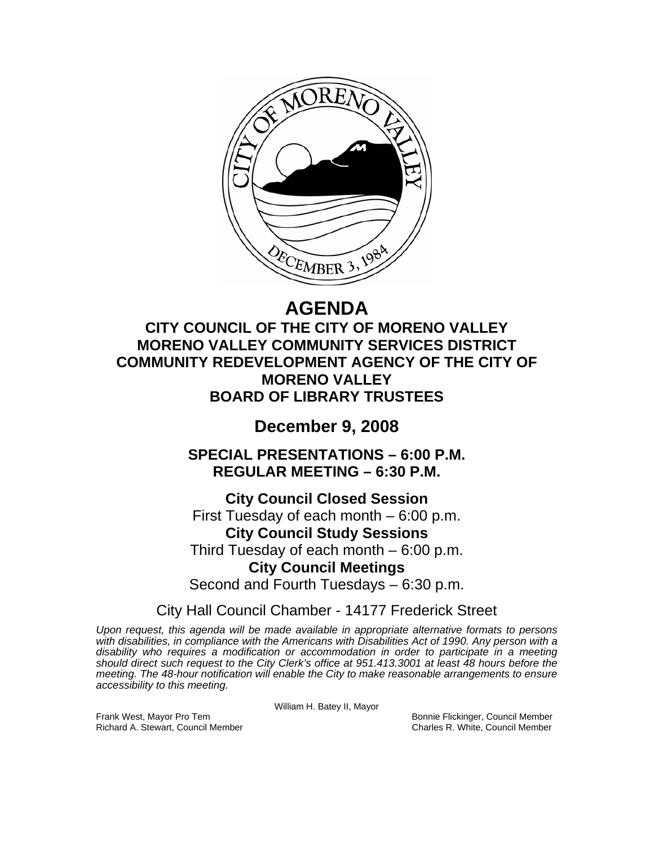

# **AGENDA**

**CITY COUNCIL OF THE CITY OF MORENO VALLEY MORENO VALLEY COMMUNITY SERVICES DISTRICT COMMUNITY REDEVELOPMENT AGENCY OF THE CITY OF MORENO VALLEY BOARD OF LIBRARY TRUSTEES** 

## **December 9, 2008**

**SPECIAL PRESENTATIONS – 6:00 P.M. REGULAR MEETING – 6:30 P.M.** 

**City Council Closed Session**  First Tuesday of each month – 6:00 p.m. **City Council Study Sessions**  Third Tuesday of each month – 6:00 p.m. **City Council Meetings**  Second and Fourth Tuesdays – 6:30 p.m.

City Hall Council Chamber - 14177 Frederick Street

*Upon request, this agenda will be made available in appropriate alternative formats to persons with disabilities, in compliance with the Americans with Disabilities Act of 1990. Any person with a disability who requires a modification or accommodation in order to participate in a meeting should direct such request to the City Clerk's office at 951.413.3001 at least 48 hours before the meeting. The 48-hour notification will enable the City to make reasonable arrangements to ensure accessibility to this meeting.* 

William H. Batey II, Mayor

Frank West, Mayor Pro Tem Bonnie Flickinger, Council Member Richard A. Stewart, Council Member Charles R. White, Council Member Charles R. White, Council Member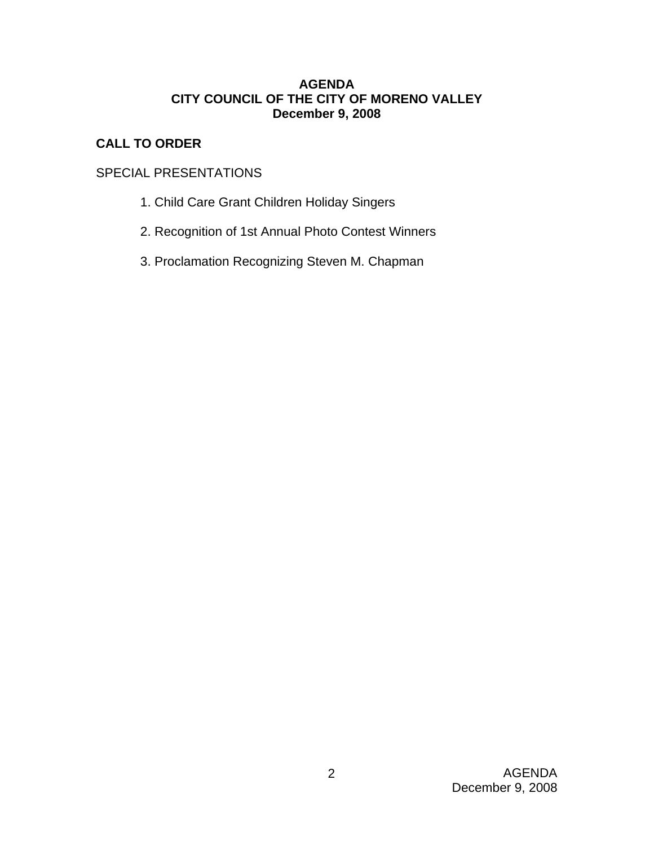## **AGENDA CITY COUNCIL OF THE CITY OF MORENO VALLEY December 9, 2008**

## **CALL TO ORDER**

## SPECIAL PRESENTATIONS

- 1. Child Care Grant Children Holiday Singers
- 2. Recognition of 1st Annual Photo Contest Winners
- 3. Proclamation Recognizing Steven M. Chapman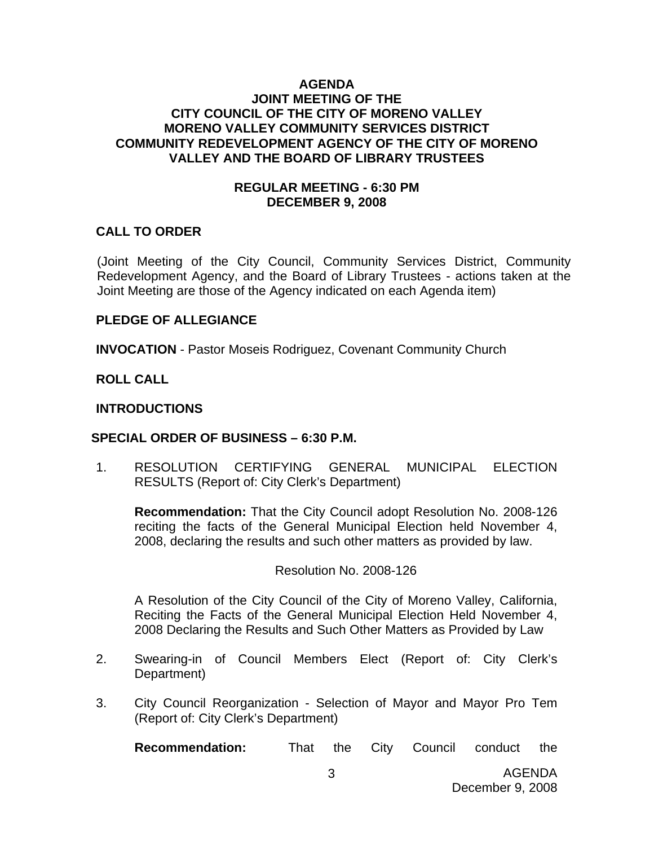#### **AGENDA JOINT MEETING OF THE CITY COUNCIL OF THE CITY OF MORENO VALLEY MORENO VALLEY COMMUNITY SERVICES DISTRICT COMMUNITY REDEVELOPMENT AGENCY OF THE CITY OF MORENO VALLEY AND THE BOARD OF LIBRARY TRUSTEES**

#### **REGULAR MEETING - 6:30 PM DECEMBER 9, 2008**

#### **CALL TO ORDER**

(Joint Meeting of the City Council, Community Services District, Community Redevelopment Agency, and the Board of Library Trustees - actions taken at the Joint Meeting are those of the Agency indicated on each Agenda item)

#### **PLEDGE OF ALLEGIANCE**

**INVOCATION** - Pastor Moseis Rodriguez, Covenant Community Church

**ROLL CALL** 

#### **INTRODUCTIONS**

#### **SPECIAL ORDER OF BUSINESS – 6:30 P.M.**

1. RESOLUTION CERTIFYING GENERAL MUNICIPAL ELECTION RESULTS (Report of: City Clerk's Department)

**Recommendation:** That the City Council adopt Resolution No. 2008-126 reciting the facts of the General Municipal Election held November 4, 2008, declaring the results and such other matters as provided by law.

#### Resolution No. 2008-126

A Resolution of the City Council of the City of Moreno Valley, California, Reciting the Facts of the General Municipal Election Held November 4, 2008 Declaring the Results and Such Other Matters as Provided by Law

- 2. Swearing-in of Council Members Elect (Report of: City Clerk's Department)
- 3. City Council Reorganization Selection of Mayor and Mayor Pro Tem (Report of: City Clerk's Department)

**Recommendation:** That the City Council conduct the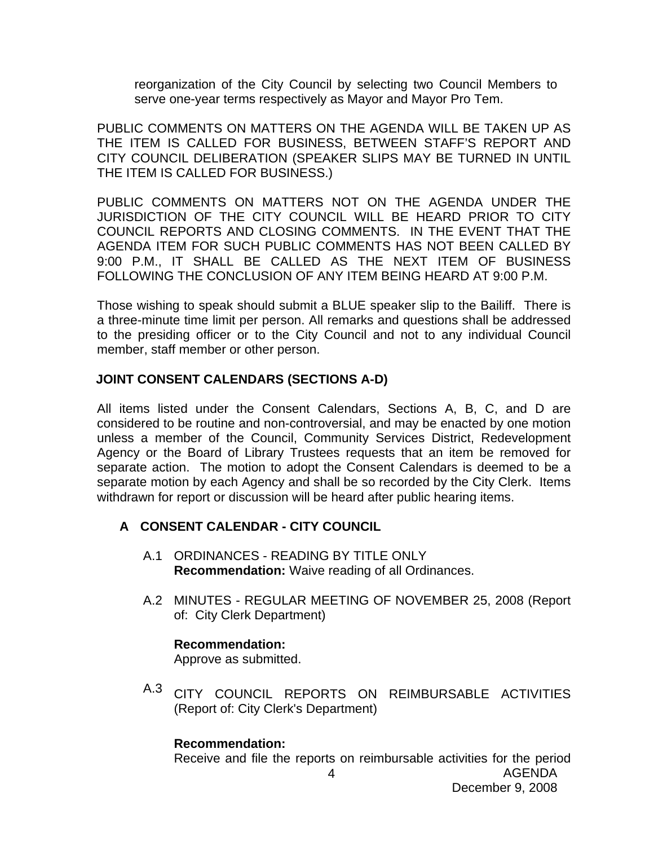reorganization of the City Council by selecting two Council Members to serve one-year terms respectively as Mayor and Mayor Pro Tem.

PUBLIC COMMENTS ON MATTERS ON THE AGENDA WILL BE TAKEN UP AS THE ITEM IS CALLED FOR BUSINESS, BETWEEN STAFF'S REPORT AND CITY COUNCIL DELIBERATION (SPEAKER SLIPS MAY BE TURNED IN UNTIL THE ITEM IS CALLED FOR BUSINESS.)

PUBLIC COMMENTS ON MATTERS NOT ON THE AGENDA UNDER THE JURISDICTION OF THE CITY COUNCIL WILL BE HEARD PRIOR TO CITY COUNCIL REPORTS AND CLOSING COMMENTS. IN THE EVENT THAT THE AGENDA ITEM FOR SUCH PUBLIC COMMENTS HAS NOT BEEN CALLED BY 9:00 P.M., IT SHALL BE CALLED AS THE NEXT ITEM OF BUSINESS FOLLOWING THE CONCLUSION OF ANY ITEM BEING HEARD AT 9:00 P.M.

Those wishing to speak should submit a BLUE speaker slip to the Bailiff. There is a three-minute time limit per person. All remarks and questions shall be addressed to the presiding officer or to the City Council and not to any individual Council member, staff member or other person.

#### **JOINT CONSENT CALENDARS (SECTIONS A-D)**

All items listed under the Consent Calendars, Sections A, B, C, and D are considered to be routine and non-controversial, and may be enacted by one motion unless a member of the Council, Community Services District, Redevelopment Agency or the Board of Library Trustees requests that an item be removed for separate action. The motion to adopt the Consent Calendars is deemed to be a separate motion by each Agency and shall be so recorded by the City Clerk. Items withdrawn for report or discussion will be heard after public hearing items.

## **A CONSENT CALENDAR - CITY COUNCIL**

- A.1 ORDINANCES READING BY TITLE ONLY **Recommendation:** Waive reading of all Ordinances.
- A.2 MINUTES REGULAR MEETING OF NOVEMBER 25, 2008 (Report of: City Clerk Department)

## **Recommendation:**

Approve as submitted.

A.3 CITY COUNCIL REPORTS ON REIMBURSABLE ACTIVITIES (Report of: City Clerk's Department)

#### **Recommendation:**

Receive and file the reports on reimbursable activities for the period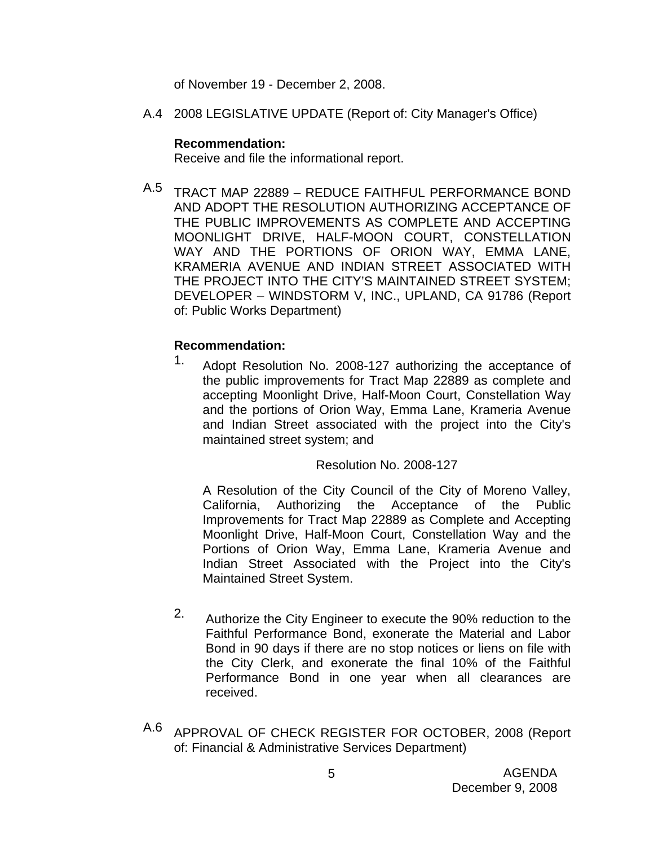of November 19 - December 2, 2008.

A.4 2008 LEGISLATIVE UPDATE (Report of: City Manager's Office)

#### **Recommendation:**

Receive and file the informational report.

A.5 TRACT MAP 22889 – REDUCE FAITHFUL PERFORMANCE BOND AND ADOPT THE RESOLUTION AUTHORIZING ACCEPTANCE OF THE PUBLIC IMPROVEMENTS AS COMPLETE AND ACCEPTING MOONLIGHT DRIVE, HALF-MOON COURT, CONSTELLATION WAY AND THE PORTIONS OF ORION WAY, EMMA LANE, KRAMERIA AVENUE AND INDIAN STREET ASSOCIATED WITH THE PROJECT INTO THE CITY'S MAINTAINED STREET SYSTEM; DEVELOPER – WINDSTORM V, INC., UPLAND, CA 91786 (Report of: Public Works Department)

## **Recommendation:**

1. Adopt Resolution No. 2008-127 authorizing the acceptance of the public improvements for Tract Map 22889 as complete and accepting Moonlight Drive, Half-Moon Court, Constellation Way and the portions of Orion Way, Emma Lane, Krameria Avenue and Indian Street associated with the project into the City's maintained street system; and

#### Resolution No. 2008-127

A Resolution of the City Council of the City of Moreno Valley, California, Authorizing the Acceptance of the Public Improvements for Tract Map 22889 as Complete and Accepting Moonlight Drive, Half-Moon Court, Constellation Way and the Portions of Orion Way, Emma Lane, Krameria Avenue and Indian Street Associated with the Project into the City's Maintained Street System.

- 2. Authorize the City Engineer to execute the 90% reduction to the Faithful Performance Bond, exonerate the Material and Labor Bond in 90 days if there are no stop notices or liens on file with the City Clerk, and exonerate the final 10% of the Faithful Performance Bond in one year when all clearances are received.
- A.6 APPROVAL OF CHECK REGISTER FOR OCTOBER, 2008 (Report of: Financial & Administrative Services Department)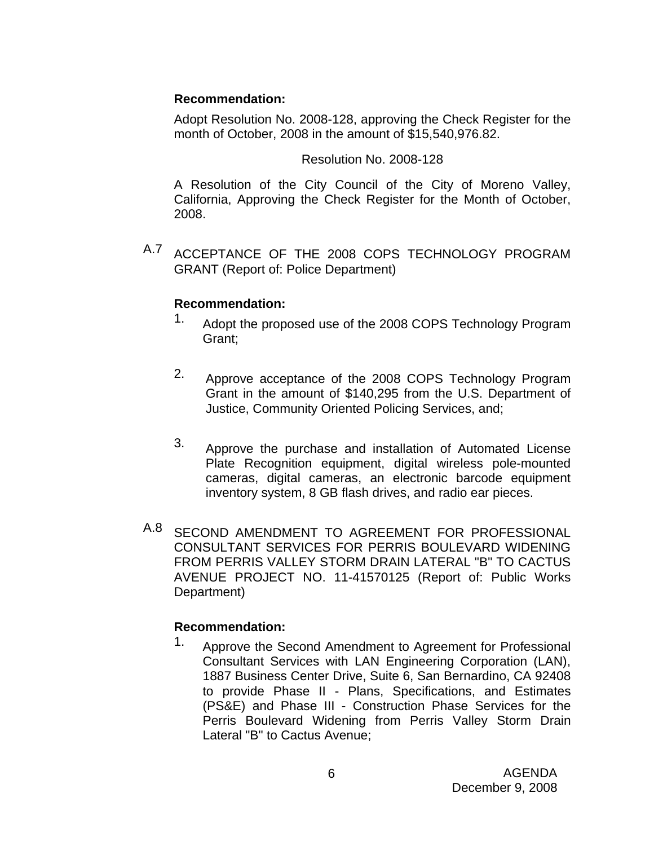### **Recommendation:**

Adopt Resolution No. 2008-128, approving the Check Register for the month of October, 2008 in the amount of \$15,540,976.82.

### Resolution No. 2008-128

A Resolution of the City Council of the City of Moreno Valley, California, Approving the Check Register for the Month of October, 2008.

A.7 ACCEPTANCE OF THE 2008 COPS TECHNOLOGY PROGRAM GRANT (Report of: Police Department)

## **Recommendation:**

- 1. Adopt the proposed use of the 2008 COPS Technology Program Grant;
- 2. Approve acceptance of the 2008 COPS Technology Program Grant in the amount of \$140,295 from the U.S. Department of Justice, Community Oriented Policing Services, and;
- 3. Approve the purchase and installation of Automated License Plate Recognition equipment, digital wireless pole-mounted cameras, digital cameras, an electronic barcode equipment inventory system, 8 GB flash drives, and radio ear pieces.
- A.8 SECOND AMENDMENT TO AGREEMENT FOR PROFESSIONAL CONSULTANT SERVICES FOR PERRIS BOULEVARD WIDENING FROM PERRIS VALLEY STORM DRAIN LATERAL "B" TO CACTUS AVENUE PROJECT NO. 11-41570125 (Report of: Public Works Department)

## **Recommendation:**

1. Approve the Second Amendment to Agreement for Professional Consultant Services with LAN Engineering Corporation (LAN), 1887 Business Center Drive, Suite 6, San Bernardino, CA 92408 to provide Phase II - Plans, Specifications, and Estimates (PS&E) and Phase III - Construction Phase Services for the Perris Boulevard Widening from Perris Valley Storm Drain Lateral "B" to Cactus Avenue;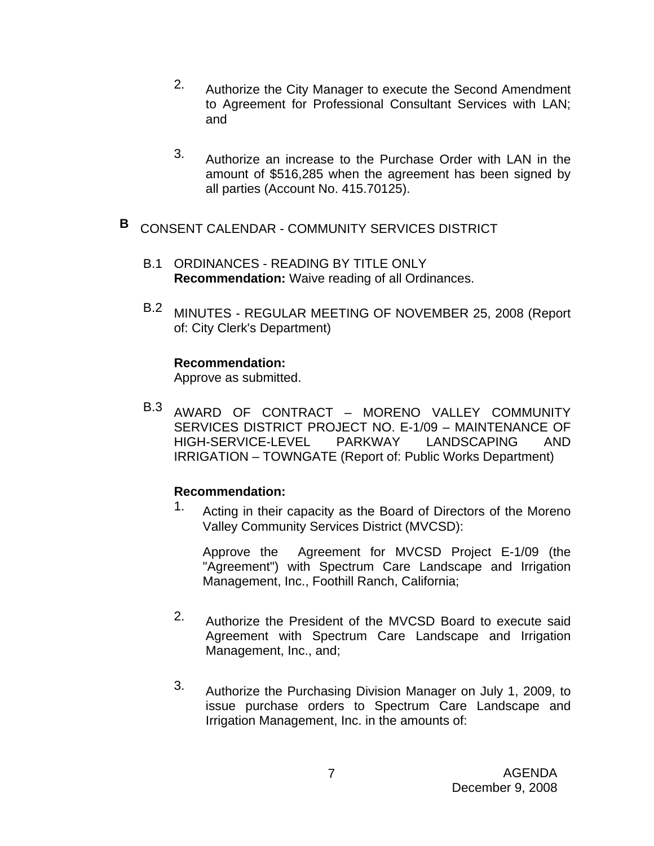- 2. Authorize the City Manager to execute the Second Amendment to Agreement for Professional Consultant Services with LAN; and
- 3. Authorize an increase to the Purchase Order with LAN in the amount of \$516,285 when the agreement has been signed by all parties (Account No. 415.70125).
- **B** CONSENT CALENDAR COMMUNITY SERVICES DISTRICT
	- B.1 ORDINANCES READING BY TITLE ONLY **Recommendation:** Waive reading of all Ordinances.
	- B.2 MINUTES REGULAR MEETING OF NOVEMBER 25, 2008 (Report of: City Clerk's Department)

#### **Recommendation:**

Approve as submitted.

B.3 AWARD OF CONTRACT – MORENO VALLEY COMMUNITY SERVICES DISTRICT PROJECT NO. E-1/09 – MAINTENANCE OF HIGH-SERVICE-LEVEL PARKWAY LANDSCAPING AND IRRIGATION – TOWNGATE (Report of: Public Works Department)

## **Recommendation:**

1. Acting in their capacity as the Board of Directors of the Moreno Valley Community Services District (MVCSD):

Approve the Agreement for MVCSD Project E-1/09 (the "Agreement") with Spectrum Care Landscape and Irrigation Management, Inc., Foothill Ranch, California;

- 2. Authorize the President of the MVCSD Board to execute said Agreement with Spectrum Care Landscape and Irrigation Management, Inc., and;
- 3. Authorize the Purchasing Division Manager on July 1, 2009, to issue purchase orders to Spectrum Care Landscape and Irrigation Management, Inc. in the amounts of: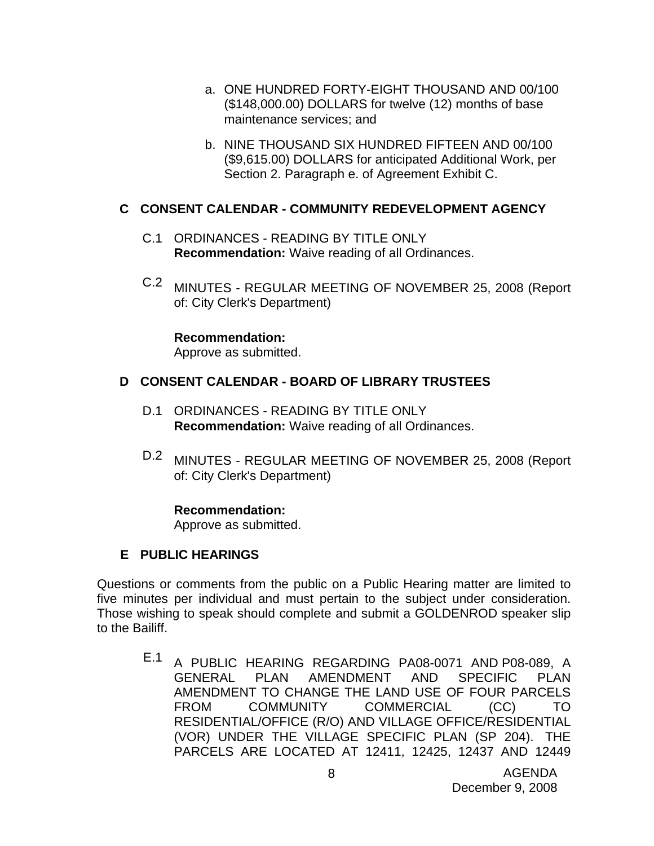- a. ONE HUNDRED FORTY-EIGHT THOUSAND AND 00/100 (\$148,000.00) DOLLARS for twelve (12) months of base maintenance services; and
- b. NINE THOUSAND SIX HUNDRED FIFTEEN AND 00/100 (\$9,615.00) DOLLARS for anticipated Additional Work, per Section 2. Paragraph e. of Agreement Exhibit C.

## **C CONSENT CALENDAR - COMMUNITY REDEVELOPMENT AGENCY**

- C.1 ORDINANCES READING BY TITLE ONLY **Recommendation:** Waive reading of all Ordinances.
- C.2 MINUTES REGULAR MEETING OF NOVEMBER 25, 2008 (Report of: City Clerk's Department)

**Recommendation:**  Approve as submitted.

## **D CONSENT CALENDAR - BOARD OF LIBRARY TRUSTEES**

- D.1 ORDINANCES READING BY TITLE ONLY **Recommendation:** Waive reading of all Ordinances.
- D.2 MINUTES REGULAR MEETING OF NOVEMBER 25, 2008 (Report of: City Clerk's Department)

#### **Recommendation:**

Approve as submitted.

## **E PUBLIC HEARINGS**

Questions or comments from the public on a Public Hearing matter are limited to five minutes per individual and must pertain to the subject under consideration. Those wishing to speak should complete and submit a GOLDENROD speaker slip to the Bailiff.

E.1 A PUBLIC HEARING REGARDING PA08-0071 AND P08-089, A GENERAL PLAN AMENDMENT AND SPECIFIC PLAN AMENDMENT TO CHANGE THE LAND USE OF FOUR PARCELS FROM COMMUNITY COMMERCIAL (CC) TO RESIDENTIAL/OFFICE (R/O) AND VILLAGE OFFICE/RESIDENTIAL (VOR) UNDER THE VILLAGE SPECIFIC PLAN (SP 204). THE PARCELS ARE LOCATED AT 12411, 12425, 12437 AND 12449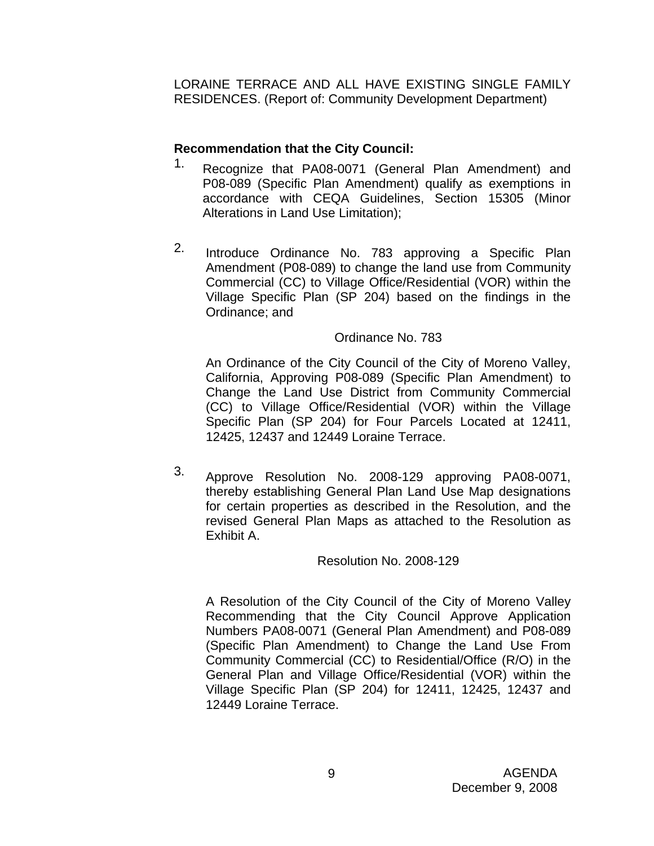LORAINE TERRACE AND ALL HAVE EXISTING SINGLE FAMILY RESIDENCES. (Report of: Community Development Department)

## **Recommendation that the City Council:**

- 1. Recognize that PA08-0071 (General Plan Amendment) and P08-089 (Specific Plan Amendment) qualify as exemptions in accordance with CEQA Guidelines, Section 15305 (Minor Alterations in Land Use Limitation);
- 2. Introduce Ordinance No. 783 approving a Specific Plan Amendment (P08-089) to change the land use from Community Commercial (CC) to Village Office/Residential (VOR) within the Village Specific Plan (SP 204) based on the findings in the Ordinance; and

## Ordinance No. 783

An Ordinance of the City Council of the City of Moreno Valley, California, Approving P08-089 (Specific Plan Amendment) to Change the Land Use District from Community Commercial (CC) to Village Office/Residential (VOR) within the Village Specific Plan (SP 204) for Four Parcels Located at 12411, 12425, 12437 and 12449 Loraine Terrace.

3. Approve Resolution No. 2008-129 approving PA08-0071, thereby establishing General Plan Land Use Map designations for certain properties as described in the Resolution, and the revised General Plan Maps as attached to the Resolution as Exhibit A.

#### Resolution No. 2008-129

A Resolution of the City Council of the City of Moreno Valley Recommending that the City Council Approve Application Numbers PA08-0071 (General Plan Amendment) and P08-089 (Specific Plan Amendment) to Change the Land Use From Community Commercial (CC) to Residential/Office (R/O) in the General Plan and Village Office/Residential (VOR) within the Village Specific Plan (SP 204) for 12411, 12425, 12437 and 12449 Loraine Terrace.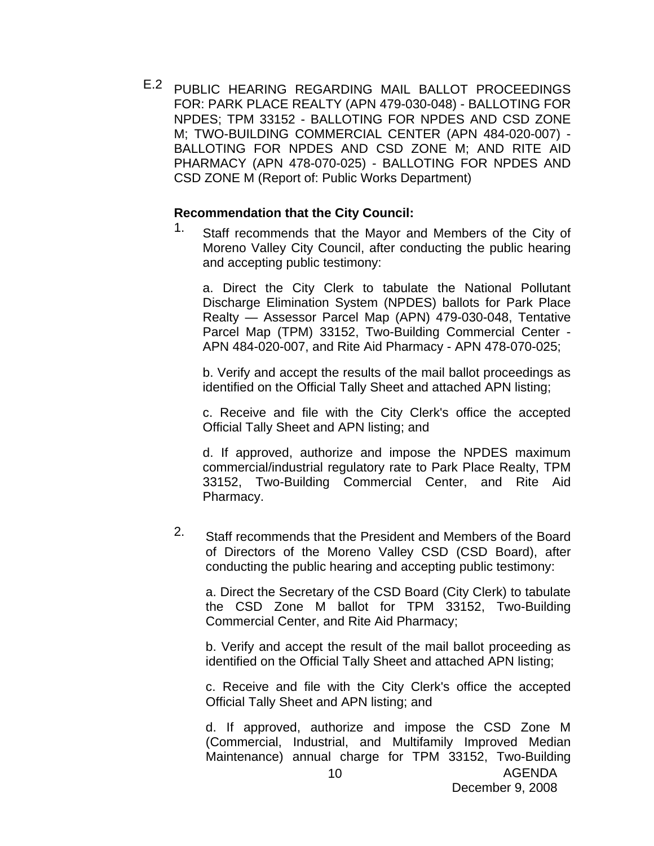E.2 PUBLIC HEARING REGARDING MAIL BALLOT PROCEEDINGS FOR: PARK PLACE REALTY (APN 479-030-048) - BALLOTING FOR NPDES; TPM 33152 - BALLOTING FOR NPDES AND CSD ZONE M; TWO-BUILDING COMMERCIAL CENTER (APN 484-020-007) - BALLOTING FOR NPDES AND CSD ZONE M; AND RITE AID PHARMACY (APN 478-070-025) - BALLOTING FOR NPDES AND CSD ZONE M (Report of: Public Works Department)

#### **Recommendation that the City Council:**

1. Staff recommends that the Mayor and Members of the City of Moreno Valley City Council, after conducting the public hearing and accepting public testimony:

a. Direct the City Clerk to tabulate the National Pollutant Discharge Elimination System (NPDES) ballots for Park Place Realty — Assessor Parcel Map (APN) 479-030-048, Tentative Parcel Map (TPM) 33152, Two-Building Commercial Center - APN 484-020-007, and Rite Aid Pharmacy - APN 478-070-025;

b. Verify and accept the results of the mail ballot proceedings as identified on the Official Tally Sheet and attached APN listing;

c. Receive and file with the City Clerk's office the accepted Official Tally Sheet and APN listing; and

d. If approved, authorize and impose the NPDES maximum commercial/industrial regulatory rate to Park Place Realty, TPM 33152, Two-Building Commercial Center, and Rite Aid Pharmacy.

2. Staff recommends that the President and Members of the Board of Directors of the Moreno Valley CSD (CSD Board), after conducting the public hearing and accepting public testimony:

a. Direct the Secretary of the CSD Board (City Clerk) to tabulate the CSD Zone M ballot for TPM 33152, Two-Building Commercial Center, and Rite Aid Pharmacy;

b. Verify and accept the result of the mail ballot proceeding as identified on the Official Tally Sheet and attached APN listing;

c. Receive and file with the City Clerk's office the accepted Official Tally Sheet and APN listing; and

d. If approved, authorize and impose the CSD Zone M (Commercial, Industrial, and Multifamily Improved Median Maintenance) annual charge for TPM 33152, Two-Building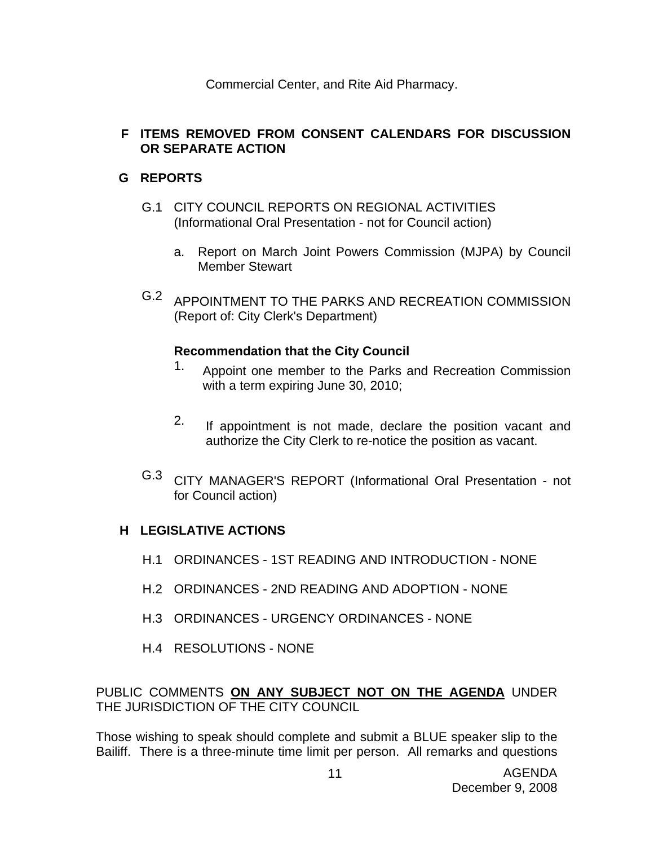Commercial Center, and Rite Aid Pharmacy.

## **F ITEMS REMOVED FROM CONSENT CALENDARS FOR DISCUSSION OR SEPARATE ACTION**

## **G REPORTS**

- G.1 CITY COUNCIL REPORTS ON REGIONAL ACTIVITIES (Informational Oral Presentation - not for Council action)
	- a. Report on March Joint Powers Commission (MJPA) by Council Member Stewart
- G.2 APPOINTMENT TO THE PARKS AND RECREATION COMMISSION (Report of: City Clerk's Department)

## **Recommendation that the City Council**

- 1. Appoint one member to the Parks and Recreation Commission with a term expiring June 30, 2010;
- 2. If appointment is not made, declare the position vacant and authorize the City Clerk to re-notice the position as vacant.
- G.3 CITY MANAGER'S REPORT (Informational Oral Presentation not for Council action)

## **H LEGISLATIVE ACTIONS**

- H.1 ORDINANCES 1ST READING AND INTRODUCTION NONE
- H.2 ORDINANCES 2ND READING AND ADOPTION NONE
- H.3 ORDINANCES URGENCY ORDINANCES NONE
- H.4 RESOLUTIONS NONE

PUBLIC COMMENTS **ON ANY SUBJECT NOT ON THE AGENDA** UNDER THE JURISDICTION OF THE CITY COUNCIL

Those wishing to speak should complete and submit a BLUE speaker slip to the Bailiff. There is a three-minute time limit per person. All remarks and questions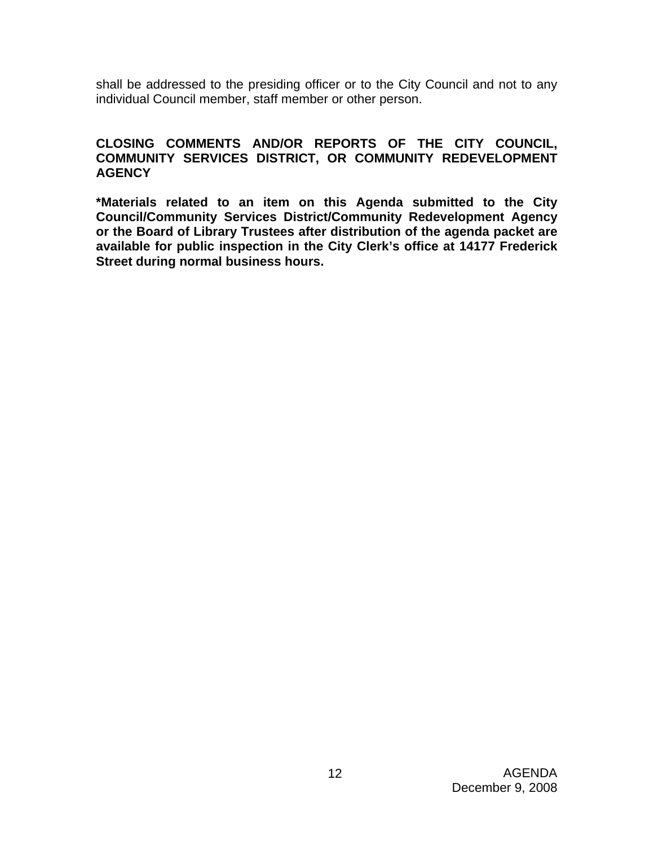shall be addressed to the presiding officer or to the City Council and not to any individual Council member, staff member or other person.

#### **CLOSING COMMENTS AND/OR REPORTS OF THE CITY COUNCIL, COMMUNITY SERVICES DISTRICT, OR COMMUNITY REDEVELOPMENT AGENCY**

**\*Materials related to an item on this Agenda submitted to the City Council/Community Services District/Community Redevelopment Agency or the Board of Library Trustees after distribution of the agenda packet are available for public inspection in the City Clerk's office at 14177 Frederick Street during normal business hours.**